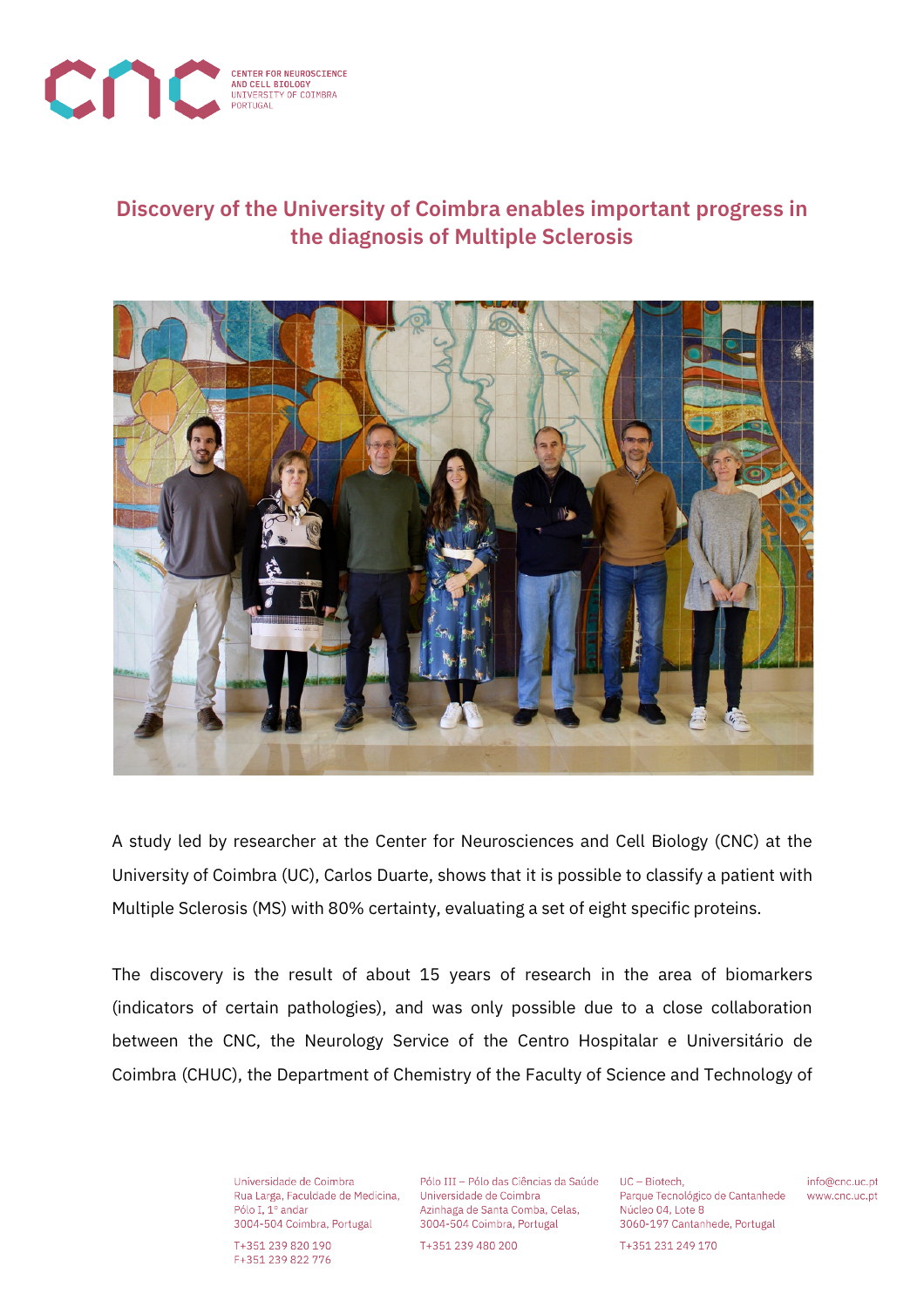

## **Discovery of the University of Coimbra enables important progress in the diagnosis of Multiple Sclerosis**



A study led by researcher at the Center for Neurosciences and Cell Biology (CNC) at the University of Coimbra (UC), Carlos Duarte, shows that it is possible to classify a patient with Multiple Sclerosis (MS) with 80% certainty, evaluating a set of eight specific proteins.

The discovery is the result of about 15 years of research in the area of biomarkers (indicators of certain pathologies), and was only possible due to a close collaboration between the CNC, the Neurology Service of the Centro Hospitalar e Universitário de Coimbra (CHUC), the Department of Chemistry of the Faculty of Science and Technology of

> Universidade de Coimbra Rua Larga, Faculdade de Medicina, Pólo I, 1º andar 3004-504 Coimbra, Portugal

T+351 239 820 190 F+351 239 822 776

Pólo III - Pólo das Ciências da Saúde Universidade de Coimbra Azinhaga de Santa Comba, Celas, 3004-504 Coimbra, Portugal

T+351 239 480 200

UC - Biotech, Parque Tecnológico de Cantanhede Núcleo 04, Lote 8 3060-197 Cantanhede, Portugal

info@cnc.uc.pt www.cnc.uc.pt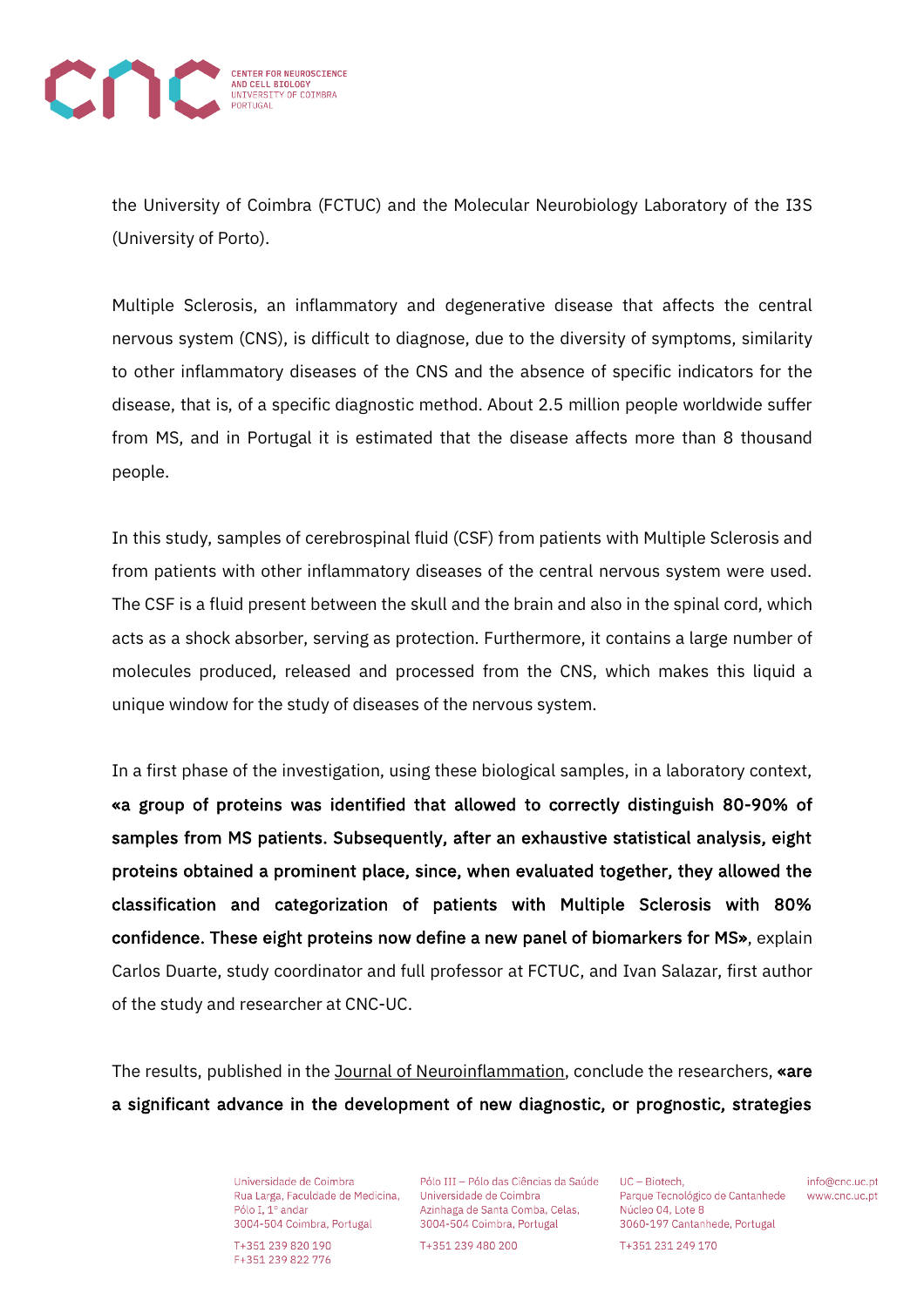

the University of Coimbra (FCTUC) and the Molecular Neurobiology Laboratory of the I3S (University of Porto).

Multiple Sclerosis, an inflammatory and degenerative disease that affects the central nervous system (CNS), is difficult to diagnose, due to the diversity of symptoms, similarity to other inflammatory diseases of the CNS and the absence of specific indicators for the disease, that is, of a specific diagnostic method. About 2.5 million people worldwide suffer from MS, and in Portugal it is estimated that the disease affects more than 8 thousand people.

In this study, samples of cerebrospinal fluid (CSF) from patients with Multiple Sclerosis and from patients with other inflammatory diseases of the central nervous system were used. The CSF is a fluid present between the skull and the brain and also in the spinal cord, which acts as a shock absorber, serving as protection. Furthermore, it contains a large number of molecules produced, released and processed from the CNS, which makes this liquid a unique window for the study of diseases of the nervous system.

In a first phase of the investigation, using these biological samples, in a laboratory context, «a group of proteins was identified that allowed to correctly distinguish 80-90% of samples from MS patients. Subsequently, after an exhaustive statistical analysis, eight proteins obtained a prominent place, since, when evaluated together, they allowed the classification and categorization of patients with Multiple Sclerosis with 80% confidence. These eight proteins now define a new panel of biomarkers for MS», explain Carlos Duarte, study coordinator and full professor at FCTUC, and Ivan Salazar, first author of the study and researcher at CNC-UC.

The results, published in the Journal of Neuroinflammation, conclude the researchers, «are a significant advance in the development of new diagnostic, or prognostic, strategies

> Universidade de Coimbra Rua Larga, Faculdade de Medicina, Pólo I, 1º andar 3004-504 Coimbra, Portugal

T+351 239 820 190 F+351 239 822 776

Pólo III - Pólo das Ciências da Saúde Universidade de Coimbra Azinhaga de Santa Comba, Celas, 3004-504 Coimbra, Portugal

T+351 239 480 200

UC - Biotech. Parque Tecnológico de Cantanhede Núcleo 04, Lote 8 3060-197 Cantanhede, Portugal

info@cnc.uc.pt www.cnc.uc.pt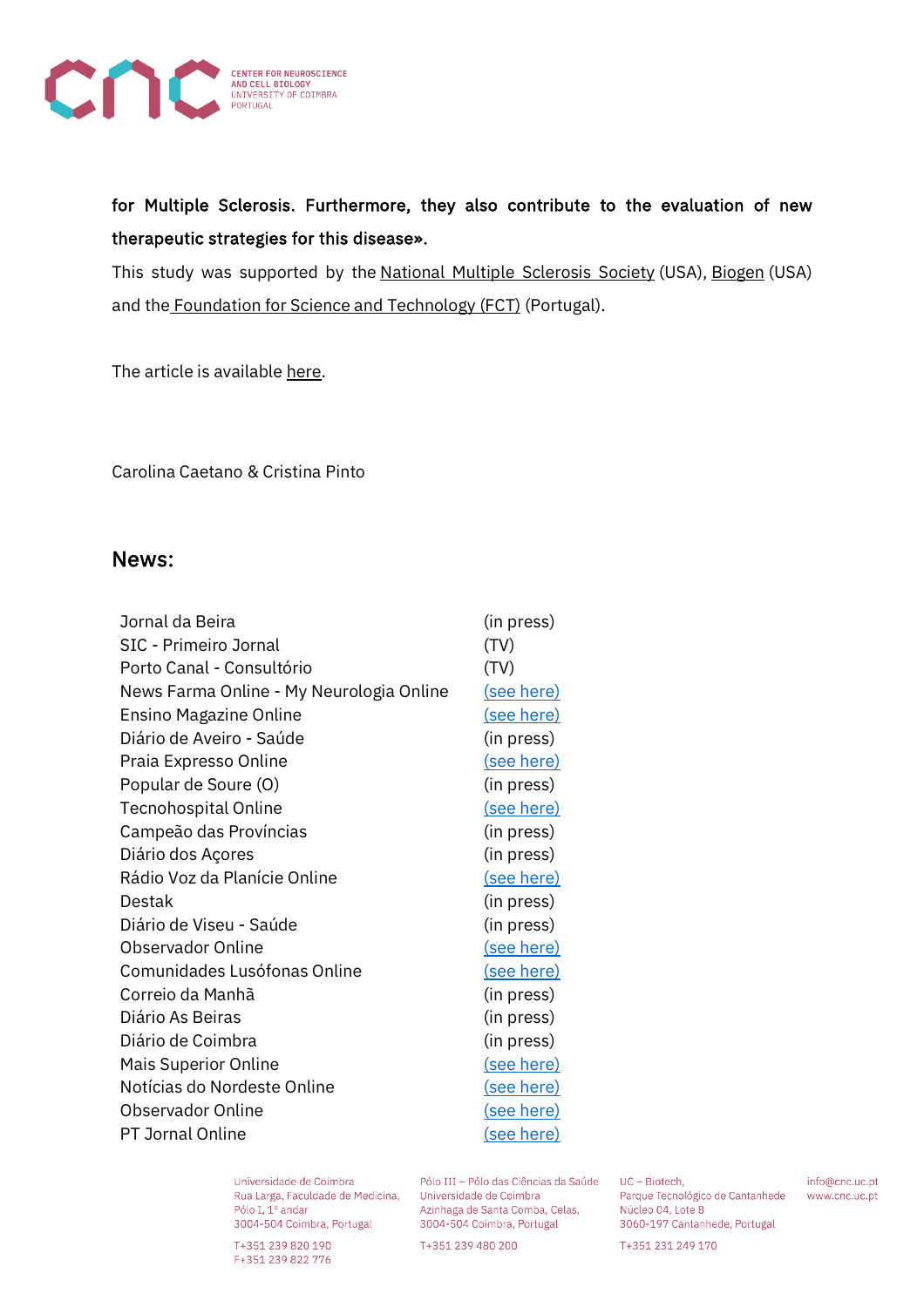

for Multiple Sclerosis. Furthermore, they also contribute to the evaluation of new therapeutic strategies for this disease».

This study was supported by the National Multiple Sclerosis Society (USA), Biogen (USA) and the Foundation for Science and Technology (FCT) (Portugal).

The article is available here.

Carolina Caetano & Cristina Pinto

## News:

| Jornal da Beira                          | (in press) |
|------------------------------------------|------------|
| <b>SIC - Primeiro Jornal</b>             | (TV)       |
| Porto Canal - Consultório                | (TV)       |
| News Farma Online - My Neurologia Online | (see here) |
| Ensino Magazine Online                   | (see here) |
| Diário de Aveiro - Saúde                 | (in press) |
| Praia Expresso Online                    | (see here) |
| Popular de Soure (O)                     | (in press) |
| Tecnohospital Online                     | (see here) |
| Campeão das Províncias                   | (in press) |
| Diário dos Açores                        | (in press) |
| Rádio Voz da Planície Online             | (see here) |
| Destak                                   | (in press) |
| Diário de Viseu - Saúde                  | (in press) |
| <b>Observador Online</b>                 | (see here) |
| Comunidades Lusófonas Online             | (see here) |
| Correio da Manhã                         | (in press) |
| Diário As Beiras                         | (in press) |
| Diário de Coimbra                        | (in press) |
| <b>Mais Superior Online</b>              | (see here) |
| Notícias do Nordeste Online              | (see here) |
| <b>Observador Online</b>                 | (see here) |
| <b>PT Jornal Online</b>                  | (see here) |

Universidade de Coimbra Rua Larga, Faculdade de Medicina, Universidade de Coimbra Pólo I, 1º andar

3004-504 Coimbra, Portugal

T+351 239 820 190 F+351 239 822 776

Pólo III - Pólo das Ciências da Saúde UC - Biotech, Universidade de Coimbra<br>Azinhaga de Santa Comba, Celas, 3004-504 Coimbra, Portugal

T+351 239 480 200

Parque Tecnológico de Cantanhede Núcleo 04, Lote 8 3060-197 Cantanhede, Portugal

info@cnc.uc.pt www.cnc.uc.pt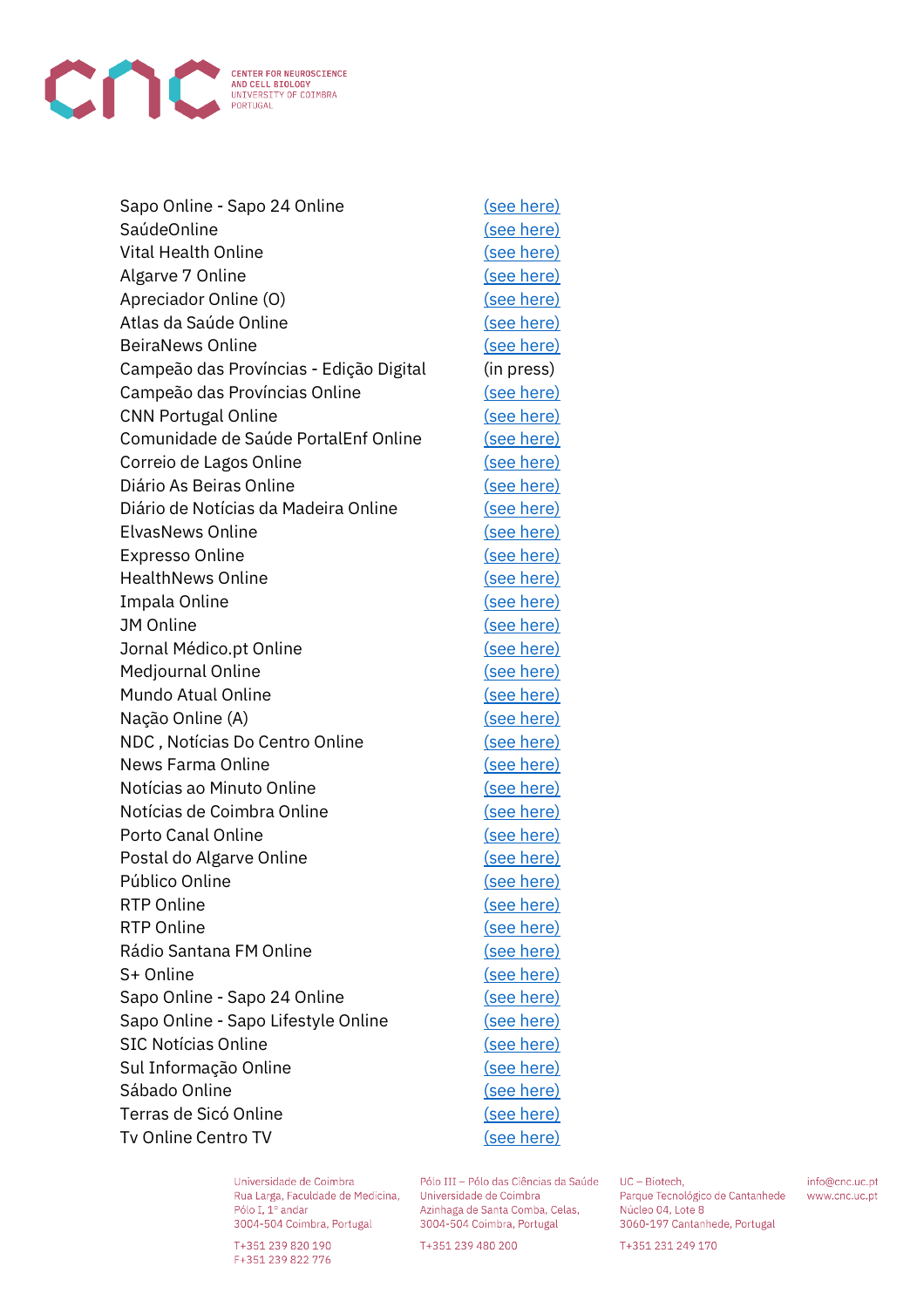

| Sapo Online - Sapo 24 Online            | (see here)        |
|-----------------------------------------|-------------------|
| SaúdeOnline                             | (see here)        |
| <b>Vital Health Online</b>              | (see here)        |
| Algarve 7 Online                        | (see here)        |
| Apreciador Online (O)                   | (see here)        |
| Atlas da Saúde Online                   | (see here)        |
| <b>BeiraNews Online</b>                 | (see here)        |
| Campeão das Províncias - Edição Digital | (in press)        |
| Campeão das Províncias Online           | (see here)        |
| <b>CNN Portugal Online</b>              | (see here)        |
| Comunidade de Saúde PortalEnf Online    | (see here)        |
| Correio de Lagos Online                 | (see here)        |
| Diário As Beiras Online                 | (see here)        |
| Diário de Notícias da Madeira Online    | (see here)        |
| <b>ElvasNews Online</b>                 | (see here)        |
| <b>Expresso Online</b>                  | (see here)        |
| <b>HealthNews Online</b>                | (see here)        |
| Impala Online                           | (see here)        |
| <b>JM Online</b>                        | (see here)        |
| Jornal Médico.pt Online                 | <u>(see here)</u> |
| Medjournal Online                       | (see here)        |
| Mundo Atual Online                      | (see here)        |
| Nação Online (A)                        | (see here)        |
| NDC, Notícias Do Centro Online          | <u>(see here)</u> |
| News Farma Online                       | (see here)        |
| Notícias ao Minuto Online               | (see here)        |
| Notícias de Coimbra Online              | (see here)        |
| Porto Canal Online                      | (see here)        |
| Postal do Algarve Online                | (see here)        |
| Público Online                          | (see here)        |
| <b>RTP Online</b>                       | <u>(see here)</u> |
| <b>RTP Online</b>                       | (see here)        |
| Rádio Santana FM Online                 | (see here)        |
| S+ Online                               | (see here)        |
| Sapo Online - Sapo 24 Online            | (see here)        |
| Sapo Online - Sapo Lifestyle Online     | <u>(see here)</u> |
| <b>SIC Notícias Online</b>              | (see here)        |
| Sul Informação Online                   | (see here)        |
| Sábado Online                           | (see here)        |
| Terras de Sicó Online                   | <u>(see here)</u> |
| Tv Online Centro TV                     | (see here)        |
|                                         |                   |

Universidade de Coimbra Rua Larga, Faculdade de Medicina, Pólo I, 1º andar 3004-504 Coimbra, Portugal

T+351 239 820 190 F+351 239 822 776

Pólo III - Pólo das Ciências da Saúde Universidade de Coimbra Azinhaga de Santa Comba, Celas, 3004-504 Coimbra, Portugal

T+351 239 480 200

UC - Biotech, Parque Tecnológico de Cantanhede Núcleo 04, Lote 8 3060-197 Cantanhede, Portugal

info@cnc.uc.pt www.cnc.uc.pt